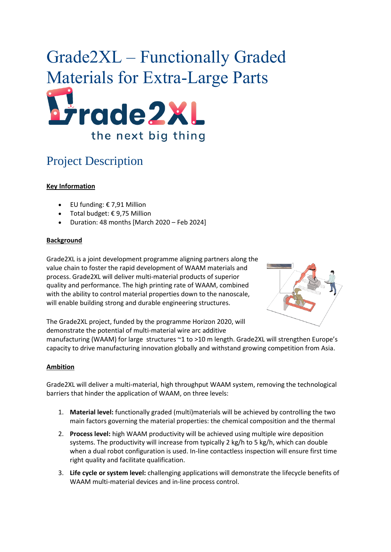# Grade2XL – Functionally Graded Materials for Extra-Large Parts Frade2XL the next big thing

# Project Description

### **Key Information**

- EU funding: € 7,91 Million
- Total budget: € 9,75 Million
- Duration: 48 months [March 2020 Feb 2024]

#### **Background**

Grade2XL is a joint development programme aligning partners along the value chain to foster the rapid development of WAAM materials and process. Grade2XL will deliver multi-material products of superior quality and performance. The high printing rate of WAAM, combined with the ability to control material properties down to the nanoscale, will enable building strong and durable engineering structures.



The Grade2XL project, funded by the programme Horizon 2020, will demonstrate the potential of multi-material wire arc additive

manufacturing (WAAM) for large structures ~1 to >10 m length. Grade2XL will strengthen Europe's capacity to drive manufacturing innovation globally and withstand growing competition from Asia.

#### **Ambition**

Grade2XL will deliver a multi-material, high throughput WAAM system, removing the technological barriers that hinder the application of WAAM, on three levels:

- 1. **Material level:** functionally graded (multi)materials will be achieved by controlling the two main factors governing the material properties: the chemical composition and the thermal
- 2. **Process level:** high WAAM productivity will be achieved using multiple wire deposition systems. The productivity will increase from typically 2 kg/h to 5 kg/h, which can double when a dual robot configuration is used. In-line contactless inspection will ensure first time right quality and facilitate qualification.
- 3. **Life cycle or system level:** challenging applications will demonstrate the lifecycle benefits of WAAM multi-material devices and in-line process control.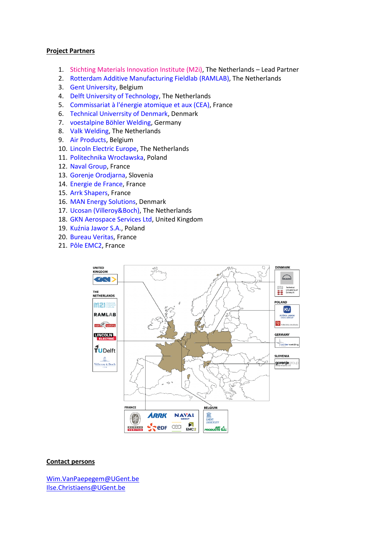#### **Project Partners**

- 1. [Stichting Materials Innovation Institute \(M2i\),](https://www.m2i.nl/) The Netherlands Lead Partner
- 2. [Rotterdam Additive Manufacturing Fieldlab](https://ramlab.com/) (RAMLAB), The Netherlands
- 3. [Gent University,](https://www.ugent.be/en) Belgium
- 4. [Delft University of Technology,](https://www.tudelft.nl/en/) The Netherlands
- 5. [Commissariat à l'énergie atomique](http://www.cea.fr/) et aux (CEA), France
- 6. [Technical Univerrsity of Denmark,](https://www.dtu.dk/english) Denmark
- 7. [voestalpine Böhler Welding,](https://www.voestalpine.com/welding/) Germany
- 8. [Valk Welding,](https://www.valkwelding.com/en) The Netherlands
- 9. [Air Products,](http://www.airproducts.be/) Belgium
- 10. [Lincoln Electric Europe,](https://www.lincolnelectric.com/nl-nl/Pages/default.aspx) The Netherlands
- 11. [Politechnika Wrocławska](https://pwr.edu.pl/), Poland
- 12. [Naval Group,](https://www.naval-group.com/en/) France
- 13. Gorenje [Orodjarna,](http://www.gorenje-orodjarna.si/en/) Slovenia
- 14. [Energie de France,](https://www.edf.fr/en/meta-home) France
- 15. [Arrk Shapers,](https://www.arrkeurope.com/company/arrk-companies/shapers/) France
- 16. [MAN Energy Solutions,](https://www.man-es.com/home) Denmark
- 17. [Ucosan \(Villeroy&Boch\),](https://www.villeroy-boch.nl/) The Netherlands
- 18. [GKN Aerospace Services Ltd,](https://www.gknaerospace.com/) United Kingdom
- 19. [Kuźnia Jawor S.A.](https://kuznia.com.pl/en/), Poland
- 20. [Bureau Veritas,](https://www.bureauveritas.fr/) France
- 21. [Pôle EMC2,](https://www.pole-emc2.fr/) France



#### **Contact persons**

[Wim.VanPaepegem@UGent.be](mailto:Wim.VanPaepegem@UGent.be) [Ilse.Christiaens@UGent.be](mailto:Ilse.Christiaens@UGent.be)